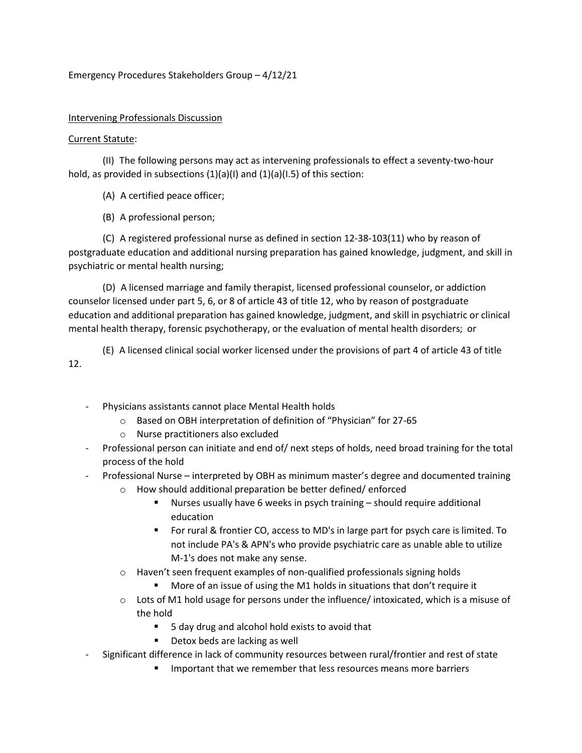## Emergency Procedures Stakeholders Group – 4/12/21

## Intervening Professionals Discussion

## Current Statute:

(II) The following persons may act as intervening professionals to effect a seventy-two-hour hold, as provided in subsections (1)(a)(l) and (1)(a)(l.5) of this section:

(A) A certified peace officer;

(B) A professional person;

(C) A registered professional nurse as defined in section 12-38-103(11) who by reason of postgraduate education and additional nursing preparation has gained knowledge, judgment, and skill in psychiatric or mental health nursing;

(D) A licensed marriage and family therapist, licensed professional counselor, or addiction counselor licensed under part 5, 6, or 8 of article 43 of title 12, who by reason of postgraduate education and additional preparation has gained knowledge, judgment, and skill in psychiatric or clinical mental health therapy, forensic psychotherapy, or the evaluation of mental health disorders;  or

(E) A licensed clinical social worker licensed under the provisions of part 4 of article 43 of title 12.

- Physicians assistants cannot place Mental Health holds
	- o Based on OBH interpretation of definition of "Physician" for 27-65
	- o Nurse practitioners also excluded
- Professional person can initiate and end of/ next steps of holds, need broad training for the total process of the hold
- Professional Nurse interpreted by OBH as minimum master's degree and documented training
	- o How should additional preparation be better defined/ enforced
		- Nurses usually have 6 weeks in psych training should require additional education
		- For rural & frontier CO, access to MD's in large part for psych care is limited. To not include PA's & APN's who provide psychiatric care as unable able to utilize M-1's does not make any sense.
	- o Haven't seen frequent examples of non-qualified professionals signing holds
		- More of an issue of using the M1 holds in situations that don't require it
	- $\circ$  Lots of M1 hold usage for persons under the influence/ intoxicated, which is a misuse of the hold
		- 5 day drug and alcohol hold exists to avoid that
		- Detox beds are lacking as well
	- Significant difference in lack of community resources between rural/frontier and rest of state
		- **IMPORTANTY** Important that we remember that less resources means more barriers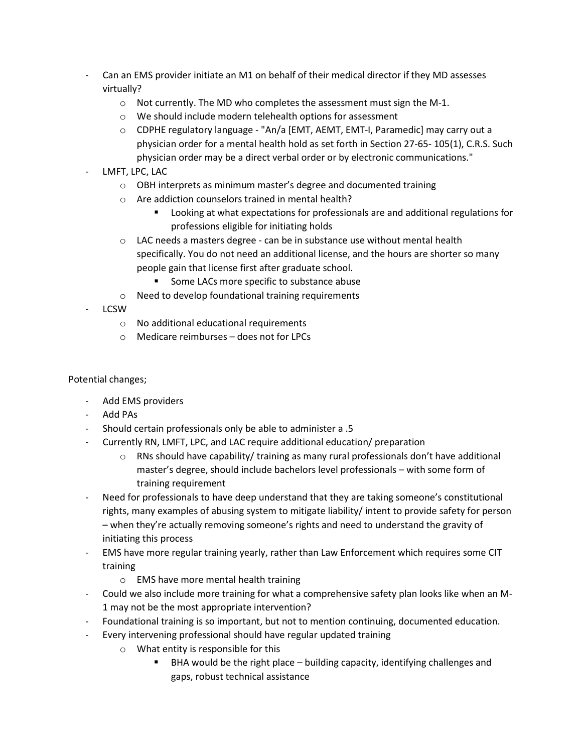- Can an EMS provider initiate an M1 on behalf of their medical director if they MD assesses virtually?
	- $\circ$  Not currently. The MD who completes the assessment must sign the M-1.
	- o We should include modern telehealth options for assessment
	- o CDPHE regulatory language "An/a [EMT, AEMT, EMT-I, Paramedic] may carry out a physician order for a mental health hold as set forth in Section 27-65- 105(1), C.R.S. Such physician order may be a direct verbal order or by electronic communications."
- LMFT, LPC, LAC
	- o OBH interprets as minimum master's degree and documented training
	- o Are addiction counselors trained in mental health?
		- Looking at what expectations for professionals are and additional regulations for professions eligible for initiating holds
	- o LAC needs a masters degree can be in substance use without mental health specifically. You do not need an additional license, and the hours are shorter so many people gain that license first after graduate school.
		- Some LACs more specific to substance abuse
	- o Need to develop foundational training requirements
- **LCSW** 
	- o No additional educational requirements
	- $\circ$  Medicare reimburses does not for LPCs

Potential changes;

- Add EMS providers
- Add PAs
- Should certain professionals only be able to administer a .5
- Currently RN, LMFT, LPC, and LAC require additional education/ preparation
	- $\circ$  RNs should have capability/ training as many rural professionals don't have additional master's degree, should include bachelors level professionals – with some form of training requirement
- Need for professionals to have deep understand that they are taking someone's constitutional rights, many examples of abusing system to mitigate liability/ intent to provide safety for person – when they're actually removing someone's rights and need to understand the gravity of initiating this process
- EMS have more regular training yearly, rather than Law Enforcement which requires some CIT training
	- o EMS have more mental health training
- Could we also include more training for what a comprehensive safety plan looks like when an M-1 may not be the most appropriate intervention?
- Foundational training is so important, but not to mention continuing, documented education.
- Every intervening professional should have regular updated training
	- o What entity is responsible for this
		- BHA would be the right place building capacity, identifying challenges and gaps, robust technical assistance